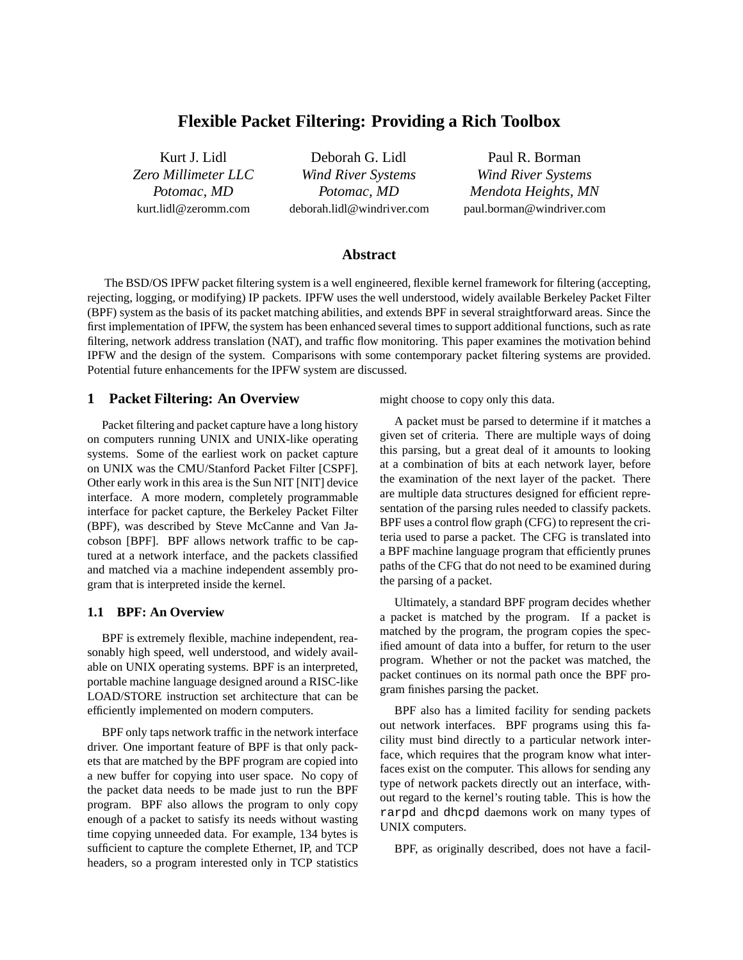# **Flexible Packet Filtering: Providing a Rich Toolbox**

Kurt J. Lidl *Zero Millimeter LLC Potomac, MD* kurt.lidl@zeromm.com

Deborah G. Lidl *Wind River Systems Potomac, MD* deborah.lidl@windriver.com

Paul R. Borman *Wind River Systems Mendota Heights, MN* paul.borman@windriver.com

# **Abstract**

The BSD/OS IPFW packet filtering system is a well engineered, flexible kernel framework for filtering (accepting, rejecting, logging, or modifying) IP packets. IPFW uses the well understood, widely available Berkeley Packet Filter (BPF) system as the basis of its packet matching abilities, and extends BPF in several straightforward areas. Since the first implementation of IPFW, the system has been enhanced several times to support additional functions, such as rate filtering, network address translation (NAT), and traffic flow monitoring. This paper examines the motivation behind IPFW and the design of the system. Comparisons with some contemporary packet filtering systems are provided. Potential future enhancements for the IPFW system are discussed.

## **1 Packet Filtering: An Overview**

Packet filtering and packet capture have a long history on computers running UNIX and UNIX-like operating systems. Some of the earliest work on packet capture on UNIX was the CMU/Stanford Packet Filter [CSPF]. Other early work in this area is the Sun NIT [NIT] device interface. A more modern, completely programmable interface for packet capture, the Berkeley Packet Filter (BPF), was described by Steve McCanne and Van Jacobson [BPF]. BPF allows network traffic to be captured at a network interface, and the packets classified and matched via a machine independent assembly program that is interpreted inside the kernel.

### **1.1 BPF: An Overview**

BPF is extremely flexible, machine independent, reasonably high speed, well understood, and widely available on UNIX operating systems. BPF is an interpreted, portable machine language designed around a RISC-like LOAD/STORE instruction set architecture that can be efficiently implemented on modern computers.

BPF only taps network traffic in the network interface driver. One important feature of BPF is that only packets that are matched by the BPF program are copied into a new buffer for copying into user space. No copy of the packet data needs to be made just to run the BPF program. BPF also allows the program to only copy enough of a packet to satisfy its needs without wasting time copying unneeded data. For example, 134 bytes is sufficient to capture the complete Ethernet, IP, and TCP headers, so a program interested only in TCP statistics might choose to copy only this data.

A packet must be parsed to determine if it matches a given set of criteria. There are multiple ways of doing this parsing, but a great deal of it amounts to looking at a combination of bits at each network layer, before the examination of the next layer of the packet. There are multiple data structures designed for efficient representation of the parsing rules needed to classify packets. BPF uses a control flow graph (CFG) to represent the criteria used to parse a packet. The CFG is translated into a BPF machine language program that efficiently prunes paths of the CFG that do not need to be examined during the parsing of a packet.

Ultimately, a standard BPF program decides whether a packet is matched by the program. If a packet is matched by the program, the program copies the specified amount of data into a buffer, for return to the user program. Whether or not the packet was matched, the packet continues on its normal path once the BPF program finishes parsing the packet.

BPF also has a limited facility for sending packets out network interfaces. BPF programs using this facility must bind directly to a particular network interface, which requires that the program know what interfaces exist on the computer. This allows for sending any type of network packets directly out an interface, without regard to the kernel's routing table. This is how the rarpd and dhcpd daemons work on many types of UNIX computers.

BPF, as originally described, does not have a facil-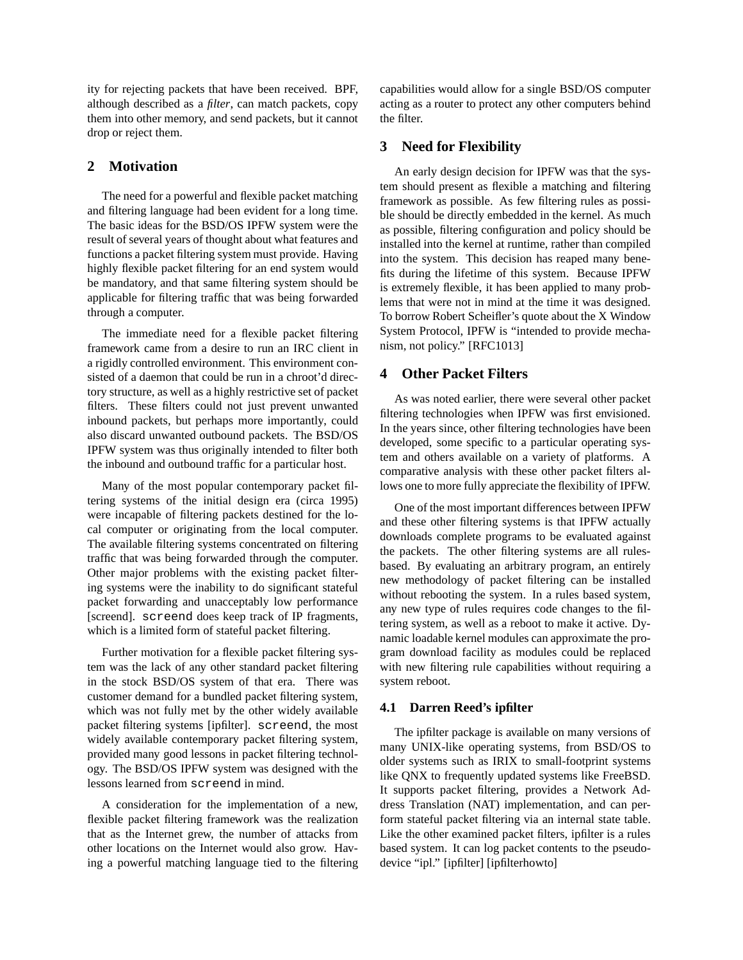ity for rejecting packets that have been received. BPF, although described as a *filter*, can match packets, copy them into other memory, and send packets, but it cannot drop or reject them.

# **2 Motivation**

The need for a powerful and flexible packet matching and filtering language had been evident for a long time. The basic ideas for the BSD/OS IPFW system were the result of several years of thought about what features and functions a packet filtering system must provide. Having highly flexible packet filtering for an end system would be mandatory, and that same filtering system should be applicable for filtering traffic that was being forwarded through a computer.

The immediate need for a flexible packet filtering framework came from a desire to run an IRC client in a rigidly controlled environment. This environment consisted of a daemon that could be run in a chroot'd directory structure, as well as a highly restrictive set of packet filters. These filters could not just prevent unwanted inbound packets, but perhaps more importantly, could also discard unwanted outbound packets. The BSD/OS IPFW system was thus originally intended to filter both the inbound and outbound traffic for a particular host.

Many of the most popular contemporary packet filtering systems of the initial design era (circa 1995) were incapable of filtering packets destined for the local computer or originating from the local computer. The available filtering systems concentrated on filtering traffic that was being forwarded through the computer. Other major problems with the existing packet filtering systems were the inability to do significant stateful packet forwarding and unacceptably low performance [screend]. screend does keep track of IP fragments, which is a limited form of stateful packet filtering.

Further motivation for a flexible packet filtering system was the lack of any other standard packet filtering in the stock BSD/OS system of that era. There was customer demand for a bundled packet filtering system, which was not fully met by the other widely available packet filtering systems [ipfilter]. screend, the most widely available contemporary packet filtering system, provided many good lessons in packet filtering technology. The BSD/OS IPFW system was designed with the lessons learned from screend in mind.

A consideration for the implementation of a new, flexible packet filtering framework was the realization that as the Internet grew, the number of attacks from other locations on the Internet would also grow. Having a powerful matching language tied to the filtering capabilities would allow for a single BSD/OS computer acting as a router to protect any other computers behind the filter.

# **3 Need for Flexibility**

An early design decision for IPFW was that the system should present as flexible a matching and filtering framework as possible. As few filtering rules as possible should be directly embedded in the kernel. As much as possible, filtering configuration and policy should be installed into the kernel at runtime, rather than compiled into the system. This decision has reaped many benefits during the lifetime of this system. Because IPFW is extremely flexible, it has been applied to many problems that were not in mind at the time it was designed. To borrow Robert Scheifler's quote about the X Window System Protocol, IPFW is "intended to provide mechanism, not policy." [RFC1013]

## **4 Other Packet Filters**

As was noted earlier, there were several other packet filtering technologies when IPFW was first envisioned. In the years since, other filtering technologies have been developed, some specific to a particular operating system and others available on a variety of platforms. A comparative analysis with these other packet filters allows one to more fully appreciate the flexibility of IPFW.

One of the most important differences between IPFW and these other filtering systems is that IPFW actually downloads complete programs to be evaluated against the packets. The other filtering systems are all rulesbased. By evaluating an arbitrary program, an entirely new methodology of packet filtering can be installed without rebooting the system. In a rules based system, any new type of rules requires code changes to the filtering system, as well as a reboot to make it active. Dynamic loadable kernel modules can approximate the program download facility as modules could be replaced with new filtering rule capabilities without requiring a system reboot.

## **4.1 Darren Reed's ipfilter**

The ipfilter package is available on many versions of many UNIX-like operating systems, from BSD/OS to older systems such as IRIX to small-footprint systems like QNX to frequently updated systems like FreeBSD. It supports packet filtering, provides a Network Address Translation (NAT) implementation, and can perform stateful packet filtering via an internal state table. Like the other examined packet filters, ipfilter is a rules based system. It can log packet contents to the pseudodevice "ipl." [ipfilter] [ipfilterhowto]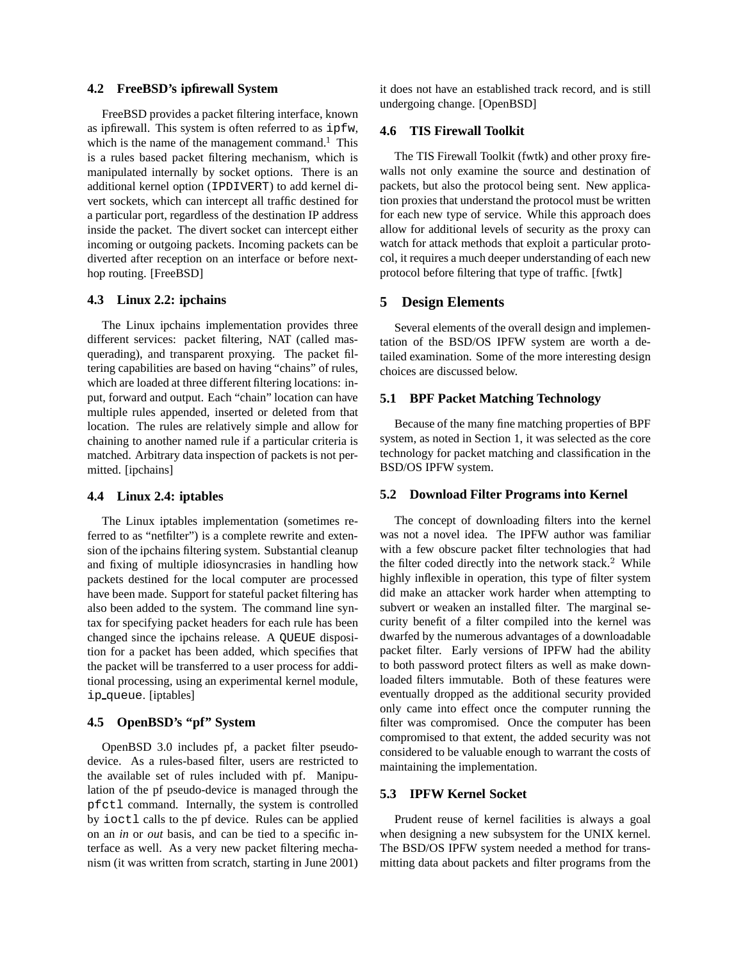#### **4.2 FreeBSD's ipfirewall System**

FreeBSD provides a packet filtering interface, known as ipfirewall. This system is often referred to as ipfw, which is the name of the management command.<sup>1</sup> This is a rules based packet filtering mechanism, which is manipulated internally by socket options. There is an additional kernel option (IPDIVERT) to add kernel divert sockets, which can intercept all traffic destined for a particular port, regardless of the destination IP address inside the packet. The divert socket can intercept either incoming or outgoing packets. Incoming packets can be diverted after reception on an interface or before nexthop routing. [FreeBSD]

### **4.3 Linux 2.2: ipchains**

The Linux ipchains implementation provides three different services: packet filtering, NAT (called masquerading), and transparent proxying. The packet filtering capabilities are based on having "chains" of rules, which are loaded at three different filtering locations: input, forward and output. Each "chain" location can have multiple rules appended, inserted or deleted from that location. The rules are relatively simple and allow for chaining to another named rule if a particular criteria is matched. Arbitrary data inspection of packets is not permitted. [ipchains]

#### **4.4 Linux 2.4: iptables**

The Linux iptables implementation (sometimes referred to as "netfilter") is a complete rewrite and extension of the ipchains filtering system. Substantial cleanup and fixing of multiple idiosyncrasies in handling how packets destined for the local computer are processed have been made. Support for stateful packet filtering has also been added to the system. The command line syntax for specifying packet headers for each rule has been changed since the ipchains release. A QUEUE disposition for a packet has been added, which specifies that the packet will be transferred to a user process for additional processing, using an experimental kernel module, ip queue. [iptables]

# **4.5 OpenBSD's "pf" System**

OpenBSD 3.0 includes pf, a packet filter pseudodevice. As a rules-based filter, users are restricted to the available set of rules included with pf. Manipulation of the pf pseudo-device is managed through the pfctl command. Internally, the system is controlled by ioctl calls to the pf device. Rules can be applied on an *in* or *out* basis, and can be tied to a specific interface as well. As a very new packet filtering mechanism (it was written from scratch, starting in June 2001) it does not have an established track record, and is still undergoing change. [OpenBSD]

#### **4.6 TIS Firewall Toolkit**

The TIS Firewall Toolkit (fwtk) and other proxy firewalls not only examine the source and destination of packets, but also the protocol being sent. New application proxies that understand the protocol must be written for each new type of service. While this approach does allow for additional levels of security as the proxy can watch for attack methods that exploit a particular protocol, it requires a much deeper understanding of each new protocol before filtering that type of traffic. [fwtk]

#### **5 Design Elements**

Several elements of the overall design and implementation of the BSD/OS IPFW system are worth a detailed examination. Some of the more interesting design choices are discussed below.

### **5.1 BPF Packet Matching Technology**

Because of the many fine matching properties of BPF system, as noted in Section 1, it was selected as the core technology for packet matching and classification in the BSD/OS IPFW system.

#### **5.2 Download Filter Programs into Kernel**

The concept of downloading filters into the kernel was not a novel idea. The IPFW author was familiar with a few obscure packet filter technologies that had the filter coded directly into the network stack.<sup>2</sup> While highly inflexible in operation, this type of filter system did make an attacker work harder when attempting to subvert or weaken an installed filter. The marginal security benefit of a filter compiled into the kernel was dwarfed by the numerous advantages of a downloadable packet filter. Early versions of IPFW had the ability to both password protect filters as well as make downloaded filters immutable. Both of these features were eventually dropped as the additional security provided only came into effect once the computer running the filter was compromised. Once the computer has been compromised to that extent, the added security was not considered to be valuable enough to warrant the costs of maintaining the implementation.

### **5.3 IPFW Kernel Socket**

Prudent reuse of kernel facilities is always a goal when designing a new subsystem for the UNIX kernel. The BSD/OS IPFW system needed a method for transmitting data about packets and filter programs from the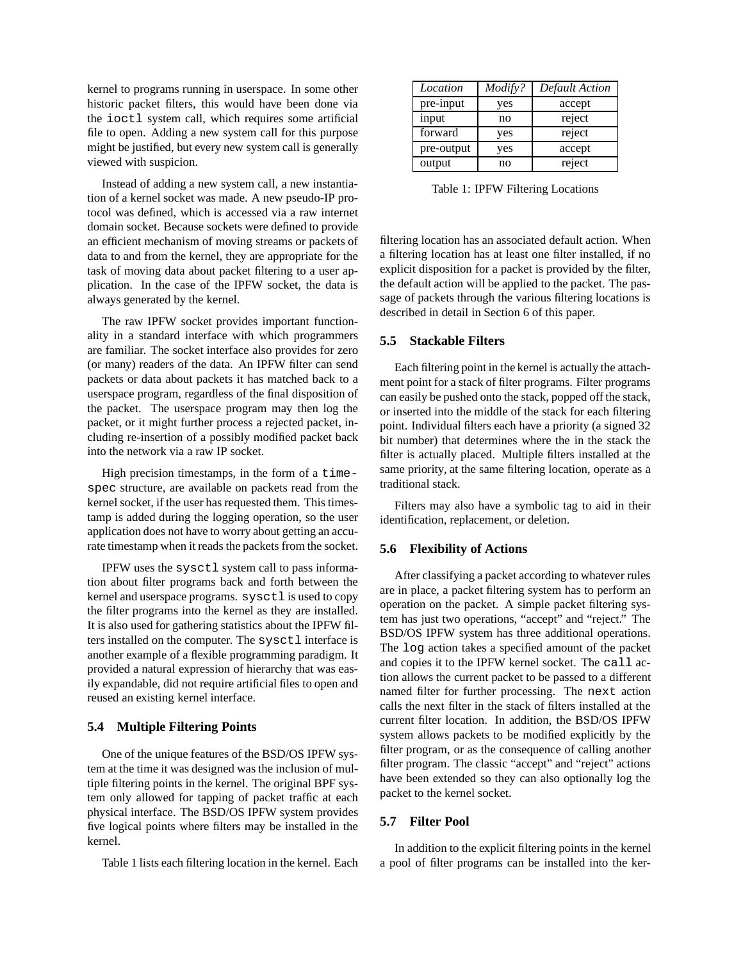kernel to programs running in userspace. In some other historic packet filters, this would have been done via the ioctl system call, which requires some artificial file to open. Adding a new system call for this purpose might be justified, but every new system call is generally viewed with suspicion.

Instead of adding a new system call, a new instantiation of a kernel socket was made. A new pseudo-IP protocol was defined, which is accessed via a raw internet domain socket. Because sockets were defined to provide an efficient mechanism of moving streams or packets of data to and from the kernel, they are appropriate for the task of moving data about packet filtering to a user application. In the case of the IPFW socket, the data is always generated by the kernel.

The raw IPFW socket provides important functionality in a standard interface with which programmers are familiar. The socket interface also provides for zero (or many) readers of the data. An IPFW filter can send packets or data about packets it has matched back to a userspace program, regardless of the final disposition of the packet. The userspace program may then log the packet, or it might further process a rejected packet, including re-insertion of a possibly modified packet back into the network via a raw IP socket.

High precision timestamps, in the form of a timespec structure, are available on packets read from the kernel socket, if the user has requested them. This timestamp is added during the logging operation, so the user application does not have to worry about getting an accurate timestamp when it reads the packets from the socket.

IPFW uses the sysctl system call to pass information about filter programs back and forth between the kernel and userspace programs. sysctl is used to copy the filter programs into the kernel as they are installed. It is also used for gathering statistics about the IPFW filters installed on the computer. The sysctl interface is another example of a flexible programming paradigm. It provided a natural expression of hierarchy that was easily expandable, did not require artificial files to open and reused an existing kernel interface.

### **5.4 Multiple Filtering Points**

One of the unique features of the BSD/OS IPFW system at the time it was designed was the inclusion of multiple filtering points in the kernel. The original BPF system only allowed for tapping of packet traffic at each physical interface. The BSD/OS IPFW system provides five logical points where filters may be installed in the kernel.

Table 1 lists each filtering location in the kernel. Each

| Location   | Modify? | <b>Default Action</b> |
|------------|---------|-----------------------|
| pre-input  | yes     | accept                |
| input      | no      | reject                |
| forward    | yes     | reject                |
| pre-output | yes     | accept                |
| output     | no      | reject                |

Table 1: IPFW Filtering Locations

filtering location has an associated default action. When a filtering location has at least one filter installed, if no explicit disposition for a packet is provided by the filter, the default action will be applied to the packet. The passage of packets through the various filtering locations is described in detail in Section 6 of this paper.

#### **5.5 Stackable Filters**

Each filtering point in the kernel is actually the attachment point for a stack of filter programs. Filter programs can easily be pushed onto the stack, popped off the stack, or inserted into the middle of the stack for each filtering point. Individual filters each have a priority (a signed 32 bit number) that determines where the in the stack the filter is actually placed. Multiple filters installed at the same priority, at the same filtering location, operate as a traditional stack.

Filters may also have a symbolic tag to aid in their identification, replacement, or deletion.

## **5.6 Flexibility of Actions**

After classifying a packet according to whatever rules are in place, a packet filtering system has to perform an operation on the packet. A simple packet filtering system has just two operations, "accept" and "reject." The BSD/OS IPFW system has three additional operations. The log action takes a specified amount of the packet and copies it to the IPFW kernel socket. The call action allows the current packet to be passed to a different named filter for further processing. The next action calls the next filter in the stack of filters installed at the current filter location. In addition, the BSD/OS IPFW system allows packets to be modified explicitly by the filter program, or as the consequence of calling another filter program. The classic "accept" and "reject" actions have been extended so they can also optionally log the packet to the kernel socket.

### **5.7 Filter Pool**

In addition to the explicit filtering points in the kernel a pool of filter programs can be installed into the ker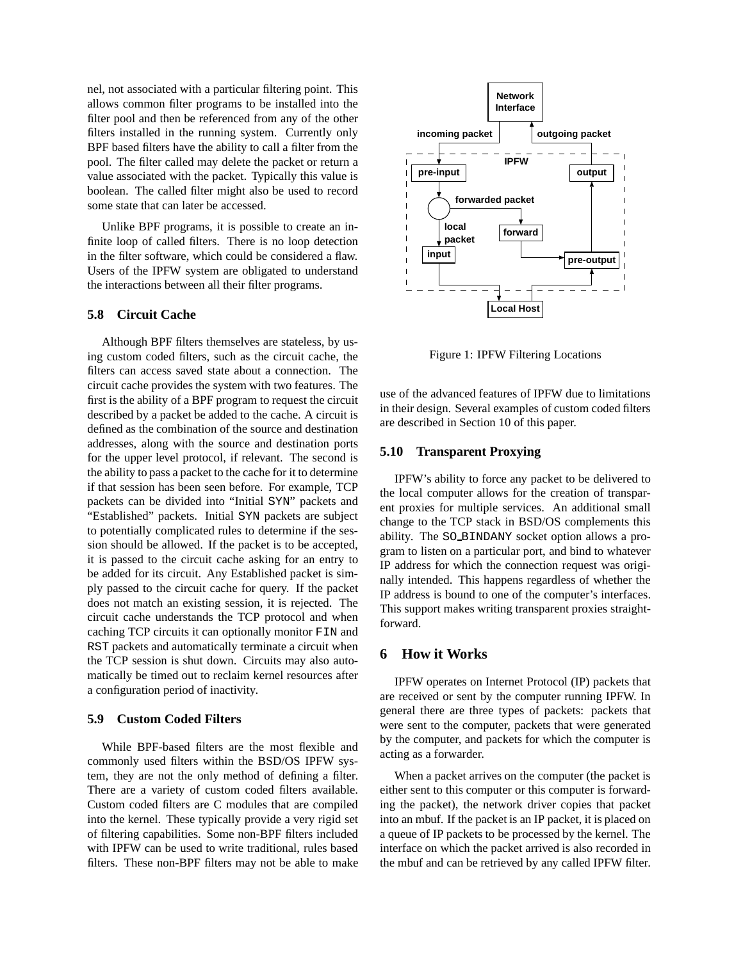nel, not associated with a particular filtering point. This allows common filter programs to be installed into the filter pool and then be referenced from any of the other filters installed in the running system. Currently only BPF based filters have the ability to call a filter from the pool. The filter called may delete the packet or return a value associated with the packet. Typically this value is boolean. The called filter might also be used to record some state that can later be accessed.

Unlike BPF programs, it is possible to create an infinite loop of called filters. There is no loop detection in the filter software, which could be considered a flaw. Users of the IPFW system are obligated to understand the interactions between all their filter programs.

#### **5.8 Circuit Cache**

Although BPF filters themselves are stateless, by using custom coded filters, such as the circuit cache, the filters can access saved state about a connection. The circuit cache provides the system with two features. The first is the ability of a BPF program to request the circuit described by a packet be added to the cache. A circuit is defined as the combination of the source and destination addresses, along with the source and destination ports for the upper level protocol, if relevant. The second is the ability to pass a packet to the cache for it to determine if that session has been seen before. For example, TCP packets can be divided into "Initial SYN" packets and "Established" packets. Initial SYN packets are subject to potentially complicated rules to determine if the session should be allowed. If the packet is to be accepted, it is passed to the circuit cache asking for an entry to be added for its circuit. Any Established packet is simply passed to the circuit cache for query. If the packet does not match an existing session, it is rejected. The circuit cache understands the TCP protocol and when caching TCP circuits it can optionally monitor FIN and RST packets and automatically terminate a circuit when the TCP session is shut down. Circuits may also automatically be timed out to reclaim kernel resources after a configuration period of inactivity.

### **5.9 Custom Coded Filters**

While BPF-based filters are the most flexible and commonly used filters within the BSD/OS IPFW system, they are not the only method of defining a filter. There are a variety of custom coded filters available. Custom coded filters are C modules that are compiled into the kernel. These typically provide a very rigid set of filtering capabilities. Some non-BPF filters included with IPFW can be used to write traditional, rules based filters. These non-BPF filters may not be able to make



Figure 1: IPFW Filtering Locations

use of the advanced features of IPFW due to limitations in their design. Several examples of custom coded filters are described in Section 10 of this paper.

#### **5.10 Transparent Proxying**

IPFW's ability to force any packet to be delivered to the local computer allows for the creation of transparent proxies for multiple services. An additional small change to the TCP stack in BSD/OS complements this ability. The SO BINDANY socket option allows a program to listen on a particular port, and bind to whatever IP address for which the connection request was originally intended. This happens regardless of whether the IP address is bound to one of the computer's interfaces. This support makes writing transparent proxies straightforward.

# **6 How it Works**

IPFW operates on Internet Protocol (IP) packets that are received or sent by the computer running IPFW. In general there are three types of packets: packets that were sent to the computer, packets that were generated by the computer, and packets for which the computer is acting as a forwarder.

When a packet arrives on the computer (the packet is either sent to this computer or this computer is forwarding the packet), the network driver copies that packet into an mbuf. If the packet is an IP packet, it is placed on a queue of IP packets to be processed by the kernel. The interface on which the packet arrived is also recorded in the mbuf and can be retrieved by any called IPFW filter.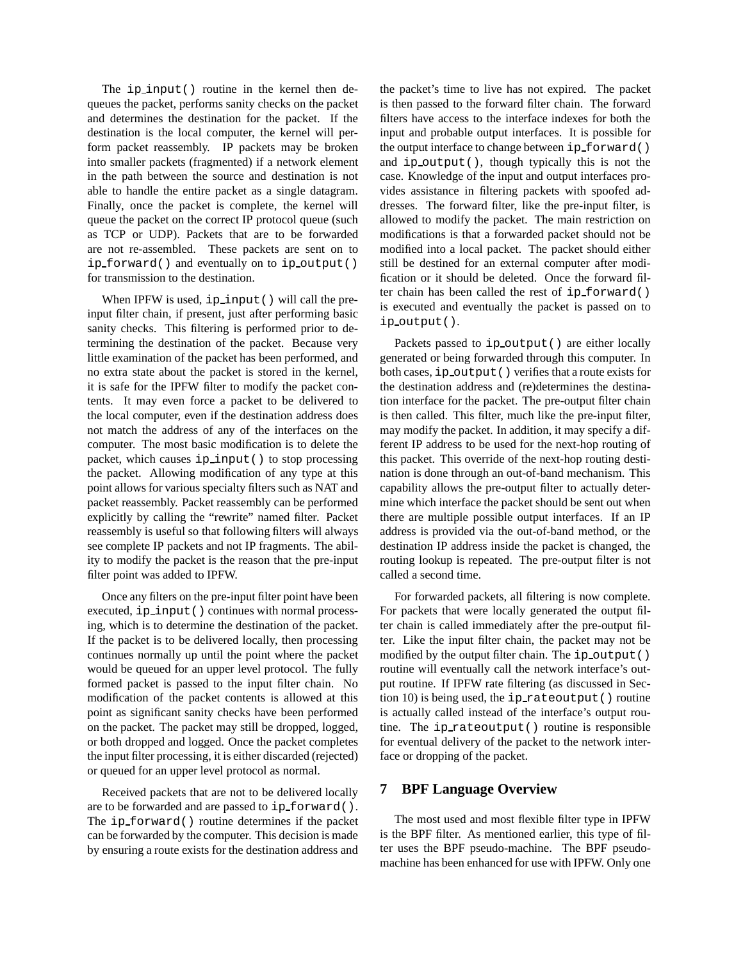The ip input() routine in the kernel then dequeues the packet, performs sanity checks on the packet and determines the destination for the packet. If the destination is the local computer, the kernel will perform packet reassembly. IP packets may be broken into smaller packets (fragmented) if a network element in the path between the source and destination is not able to handle the entire packet as a single datagram. Finally, once the packet is complete, the kernel will queue the packet on the correct IP protocol queue (such as TCP or UDP). Packets that are to be forwarded are not re-assembled. These packets are sent on to ip forward() and eventually on to ip output() for transmission to the destination.

When IPFW is used, ip\_input() will call the preinput filter chain, if present, just after performing basic sanity checks. This filtering is performed prior to determining the destination of the packet. Because very little examination of the packet has been performed, and no extra state about the packet is stored in the kernel, it is safe for the IPFW filter to modify the packet contents. It may even force a packet to be delivered to the local computer, even if the destination address does not match the address of any of the interfaces on the computer. The most basic modification is to delete the packet, which causes ip input() to stop processing the packet. Allowing modification of any type at this point allowsfor various specialty filters such as NAT and packet reassembly. Packet reassembly can be performed explicitly by calling the "rewrite" named filter. Packet reassembly is useful so that following filters will always see complete IP packets and not IP fragments. The ability to modify the packet is the reason that the pre-input filter point was added to IPFW.

Once any filters on the pre-input filter point have been executed, ip input() continues with normal processing, which is to determine the destination of the packet. If the packet is to be delivered locally, then processing continues normally up until the point where the packet would be queued for an upper level protocol. The fully formed packet is passed to the input filter chain. No modification of the packet contents is allowed at this point as significant sanity checks have been performed on the packet. The packet may still be dropped, logged, or both dropped and logged. Once the packet completes the input filter processing, it is either discarded (rejected) or queued for an upper level protocol as normal.

Received packets that are not to be delivered locally are to be forwarded and are passed to ip forward(). The ip forward() routine determines if the packet can be forwarded by the computer. This decision is made by ensuring a route exists for the destination address and

the packet's time to live has not expired. The packet is then passed to the forward filter chain. The forward filters have access to the interface indexes for both the input and probable output interfaces. It is possible for the output interface to change between ip\_forward() and ip output(), though typically this is not the case. Knowledge of the input and output interfaces provides assistance in filtering packets with spoofed addresses. The forward filter, like the pre-input filter, is allowed to modify the packet. The main restriction on modifications is that a forwarded packet should not be modified into a local packet. The packet should either still be destined for an external computer after modification or it should be deleted. Once the forward filter chain has been called the rest of  $ip\_forward($ ) is executed and eventually the packet is passed on to ip output().

Packets passed to ip\_output() are either locally generated or being forwarded through this computer. In both cases, ip\_output() verifies that a route exists for the destination address and (re)determines the destination interface for the packet. The pre-output filter chain is then called. This filter, much like the pre-input filter, may modify the packet. In addition, it may specify a different IP address to be used for the next-hop routing of this packet. This override of the next-hop routing destination is done through an out-of-band mechanism. This capability allows the pre-output filter to actually determine which interface the packet should be sent out when there are multiple possible output interfaces. If an IP address is provided via the out-of-band method, or the destination IP address inside the packet is changed, the routing lookup is repeated. The pre-output filter is not called a second time.

For forwarded packets, all filtering is now complete. For packets that were locally generated the output filter chain is called immediately after the pre-output filter. Like the input filter chain, the packet may not be modified by the output filter chain. The ip output() routine will eventually call the network interface's output routine. If IPFW rate filtering (as discussed in Section 10) is being used, the ip rateoutput() routine is actually called instead of the interface's output routine. The ip rateoutput() routine is responsible for eventual delivery of the packet to the network interface or dropping of the packet.

### **7 BPF Language Overview**

The most used and most flexible filter type in IPFW is the BPF filter. As mentioned earlier, this type of filter uses the BPF pseudo-machine. The BPF pseudomachine has been enhanced for use with IPFW. Only one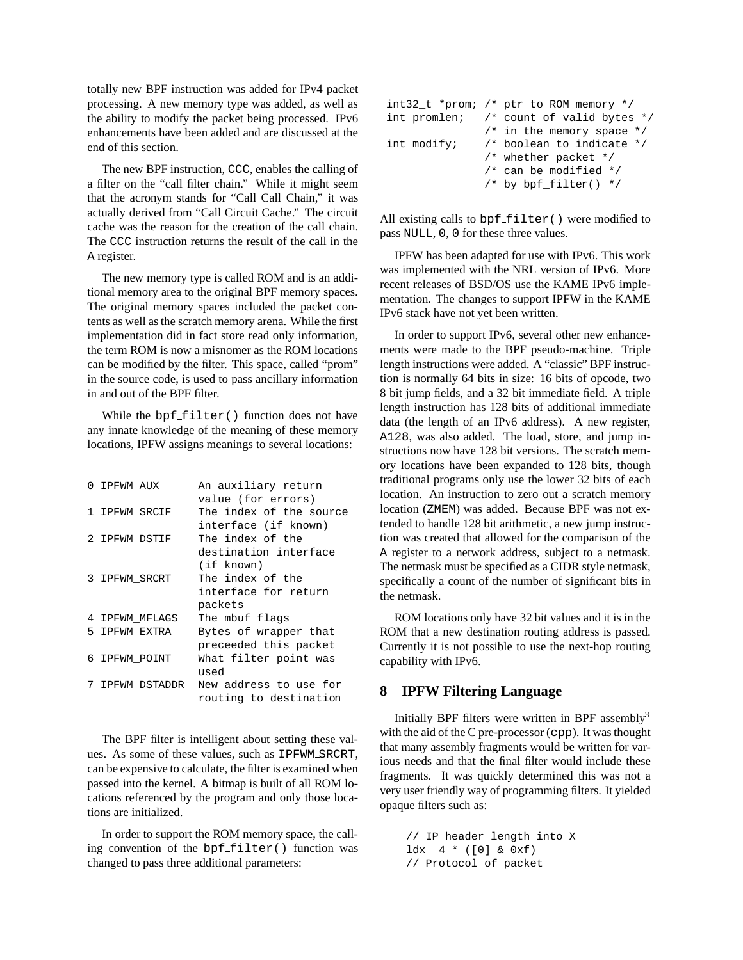totally new BPF instruction was added for IPv4 packet processing. A new memory type was added, as well as the ability to modify the packet being processed. IPv6 enhancements have been added and are discussed at the end of this section.

The new BPF instruction, CCC, enables the calling of a filter on the "call filter chain." While it might seem that the acronym stands for "Call Call Chain," it was actually derived from "Call Circuit Cache." The circuit cache was the reason for the creation of the call chain. The CCC instruction returns the result of the call in the A register.

The new memory type is called ROM and is an additional memory area to the original BPF memory spaces. The original memory spaces included the packet contents as well asthe scratch memory arena. While the first implementation did in fact store read only information, the term ROM is now a misnomer as the ROM locations can be modified by the filter. This space, called "prom" in the source code, is used to pass ancillary information in and out of the BPF filter.

While the  $bpf_{filter}$  () function does not have any innate knowledge of the meaning of these memory locations, IPFW assigns meanings to several locations:

| 0 IPFWM AUX     | An auxiliary return     |
|-----------------|-------------------------|
|                 | value (for errors)      |
| 1 IPFWM SRCIF   | The index of the source |
|                 | interface (if known)    |
| 2 IPFWM DSTIF   | The index of the        |
|                 | destination interface   |
|                 | (if known)              |
| 3 IPFWM SRCRT   | The index of the        |
|                 | interface for return    |
|                 | packets                 |
| 4 IPFWM MFLAGS  | The mbuf flags          |
| 5 IPFWM EXTRA   | Bytes of wrapper that   |
|                 | preceeded this packet   |
| 6 IPFWM POINT   | What filter point was   |
|                 | used                    |
| 7 IPFWM DSTADDR | New address to use for  |
|                 | routing to destination  |

The BPF filter is intelligent about setting these values. As some of these values, such as IPFWM SRCRT, can be expensive to calculate, the filter is examined when passed into the kernel. A bitmap is built of all ROM locations referenced by the program and only those locations are initialized.

In order to support the ROM memory space, the calling convention of the bpf filter() function was changed to pass three additional parameters:

|             | int32_t *prom; /* ptr to ROM memory */      |
|-------------|---------------------------------------------|
|             | int promlen: $/*$ count of valid bytes $*/$ |
|             | $/*$ in the memory space $*/$               |
| int modify; | /* boolean to indicate */                   |
|             | $/*$ whether packet $*/$                    |
|             | $/*$ can be modified $*/$                   |
|             | $/*$ by bpf filter() */                     |

All existing calls to bpf\_filter() were modified to pass NULL, 0, 0 for these three values.

IPFW has been adapted for use with IPv6. This work was implemented with the NRL version of IPv6. More recent releases of BSD/OS use the KAME IPv6 implementation. The changes to support IPFW in the KAME IPv6 stack have not yet been written.

In order to support IPv6, several other new enhancements were made to the BPF pseudo-machine. Triple length instructions were added. A "classic" BPF instruction is normally 64 bits in size: 16 bits of opcode, two 8 bit jump fields, and a 32 bit immediate field. A triple length instruction has 128 bits of additional immediate data (the length of an IPv6 address). A new register, A128, was also added. The load, store, and jump instructions now have 128 bit versions. The scratch memory locations have been expanded to 128 bits, though traditional programs only use the lower 32 bits of each location. An instruction to zero out a scratch memory location (ZMEM) was added. Because BPF was not extended to handle 128 bit arithmetic, a new jump instruction was created that allowed for the comparison of the A register to a network address, subject to a netmask. The netmask must be specified as a CIDR style netmask, specifically a count of the number of significant bits in the netmask.

ROM locations only have 32 bit values and it is in the ROM that a new destination routing address is passed. Currently it is not possible to use the next-hop routing capability with IPv6.

#### **8 IPFW Filtering Language**

Initially BPF filters were written in BPF assembly<sup>3</sup> with the aid of the C pre-processor (cpp). It was thought that many assembly fragments would be written for various needs and that the final filter would include these fragments. It was quickly determined this was not a very user friendly way of programming filters. It yielded opaque filters such as:

```
// IP header length into X
ldx + (0) \& 0xf)// Protocol of packet
```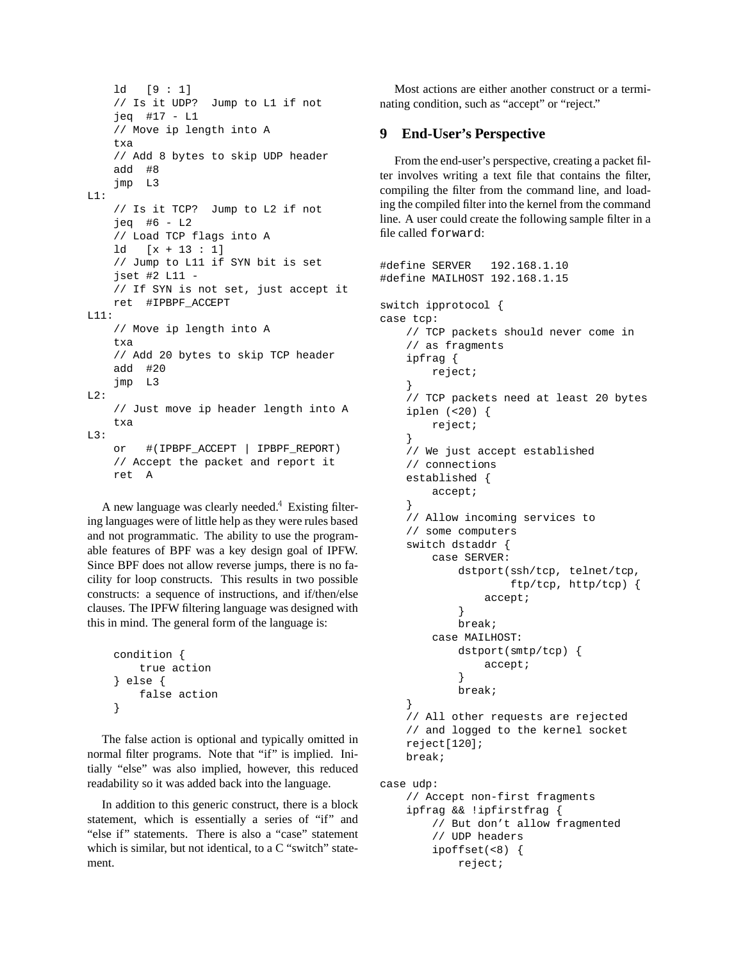```
ld [9 : 1]
    // Is it UDP? Jump to L1 if not
    jeq #17 - L1
    // Move ip length into A
    txa
    // Add 8 bytes to skip UDP header
    add #8
    jmp L3
L1:
    // Is it TCP? Jump to L2 if not
    jeq #6 - L2
    // Load TCP flags into A
    ld [x + 13 : 1]
    // Jump to L11 if SYN bit is set
    jset #2 L11 -
    // If SYN is not set, just accept it
    ret #IPBPF_ACCEPT
L11:
    // Move ip length into A
    txa
    // Add 20 bytes to skip TCP header
    add #20
    jmp L3
L2:
    // Just move ip header length into A
    txa
L3:
    or #(IPBPF_ACCEPT | IPBPF_REPORT)
    // Accept the packet and report it
    ret A
```
A new language was clearly needed. Existing filtering languages were of little help as they were rules based and not programmatic. The ability to use the programable features of BPF was a key design goal of IPFW. Since BPF does not allow reverse jumps, there is no facility for loop constructs. This results in two possible constructs: a sequence of instructions, and if/then/else clauses. The IPFW filtering language was designed with this in mind. The general form of the language is:

```
condition {
    true action
} else {
    false action
}
```
The false action is optional and typically omitted in normal filter programs. Note that "if" is implied. Initially "else" was also implied, however, this reduced readability so it was added back into the language.

In addition to this generic construct, there is a block statement, which is essentially a series of "if" and "else if" statements. There is also a "case" statement which is similar, but not identical, to a C "switch" statement.

Most actions are either another construct or a terminating condition, such as "accept" or "reject."

## **9 End-User's Perspective**

From the end-user's perspective, creating a packet filter involves writing a text file that contains the filter, compiling the filter from the command line, and loading the compiled filter into the kernel from the command line. A user could create the following sample filter in a file called forward:

```
#define SERVER 192.168.1.10
#define MAILHOST 192.168.1.15
switch ipprotocol {
case tcp:
    // TCP packets should never come in
    // as fragments
    ipfrag {
        reject;
    }
    // TCP packets need at least 20 bytes
    iplen (<20) {
        reject;
    }
    // We just accept established
    // connections
    established {
        accept;
    }
    // Allow incoming services to
    // some computers
    switch dstaddr {
        case SERVER:
            dstport(ssh/tcp, telnet/tcp,
                    ftp/tcp, http/tcp) {
                accept;
            }
            break;
        case MAILHOST:
            dstport(smtp/tcp) {
                accept;
            }
            break;
    }
    // All other requests are rejected
    // and logged to the kernel socket
    reject[120];
    break;
case udp:
    // Accept non-first fragments
    ipfrag && !ipfirstfrag {
        // But don't allow fragmented
        // UDP headers
        ipoffset(<8) {
```
reject;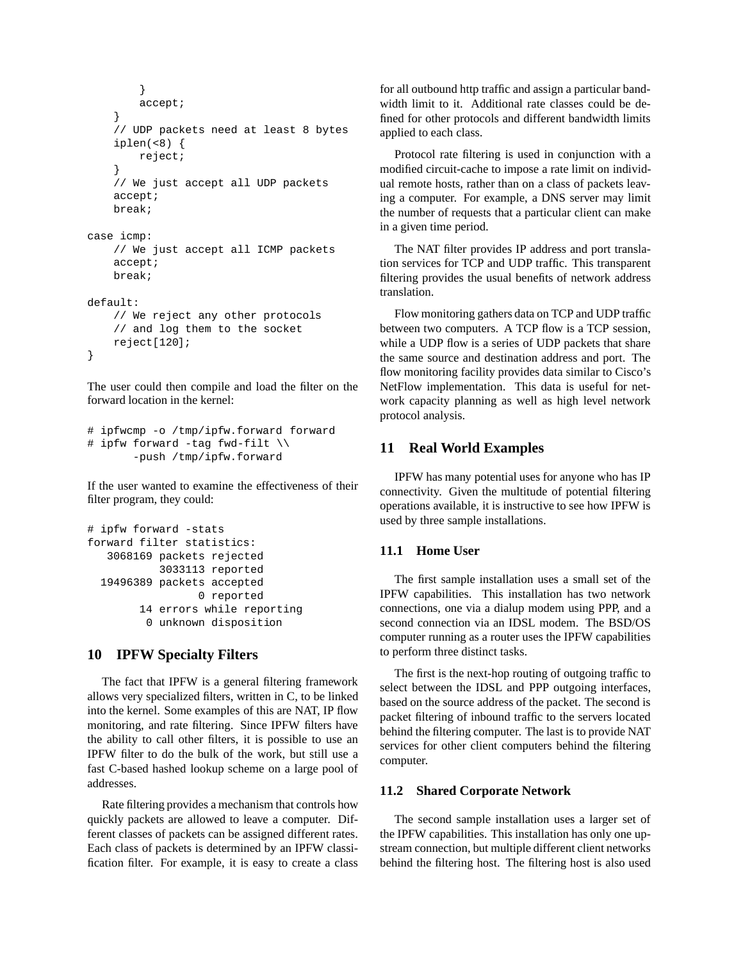```
}
        accept;
    }
    // UDP packets need at least 8 bytes
    iplen(<8) {
        reject;
    }
    // We just accept all UDP packets
    accept;
    break;
case icmp:
    // We just accept all ICMP packets
    accept;
    break;
default:
    // We reject any other protocols
    // and log them to the socket
    reject[120];
}
```
The user could then compile and load the filter on the forward location in the kernel:

```
# ipfwcmp -o /tmp/ipfw.forward forward
# ipfw forward -tag fwd-filt \\
       -push /tmp/ipfw.forward
```
If the user wanted to examine the effectiveness of their filter program, they could:

```
# ipfw forward -stats
forward filter statistics:
   3068169 packets rejected
           3033113 reported
  19496389 packets accepted
                 0 reported
        14 errors while reporting
         0 unknown disposition
```
# **10 IPFW Specialty Filters**

The fact that IPFW is a general filtering framework allows very specialized filters, written in C, to be linked into the kernel. Some examples of this are NAT, IP flow monitoring, and rate filtering. Since IPFW filters have the ability to call other filters, it is possible to use an IPFW filter to do the bulk of the work, but still use a fast C-based hashed lookup scheme on a large pool of addresses.

Rate filtering provides a mechanism that controls how quickly packets are allowed to leave a computer. Different classes of packets can be assigned different rates. Each class of packets is determined by an IPFW classification filter. For example, it is easy to create a class for all outbound http traffic and assign a particular bandwidth limit to it. Additional rate classes could be defined for other protocols and different bandwidth limits applied to each class.

Protocol rate filtering is used in conjunction with a modified circuit-cache to impose a rate limit on individual remote hosts, rather than on a class of packets leaving a computer. For example, a DNS server may limit the number of requests that a particular client can make in a given time period.

The NAT filter provides IP address and port translation services for TCP and UDP traffic. This transparent filtering provides the usual benefits of network address translation.

Flow monitoring gathers data on TCP and UDP traffic between two computers. A TCP flow is a TCP session, while a UDP flow is a series of UDP packets that share the same source and destination address and port. The flow monitoring facility provides data similar to Cisco's NetFlow implementation. This data is useful for network capacity planning as well as high level network protocol analysis.

# **11 Real World Examples**

IPFW has many potential uses for anyone who has IP connectivity. Given the multitude of potential filtering operations available, it is instructive to see how IPFW is used by three sample installations.

### **11.1 Home User**

The first sample installation uses a small set of the IPFW capabilities. This installation has two network connections, one via a dialup modem using PPP, and a second connection via an IDSL modem. The BSD/OS computer running as a router uses the IPFW capabilities to perform three distinct tasks.

The first is the next-hop routing of outgoing traffic to select between the IDSL and PPP outgoing interfaces, based on the source address of the packet. The second is packet filtering of inbound traffic to the servers located behind the filtering computer. The last is to provide NAT services for other client computers behind the filtering computer.

#### **11.2 Shared Corporate Network**

The second sample installation uses a larger set of the IPFW capabilities. This installation has only one upstream connection, but multiple different client networks behind the filtering host. The filtering host is also used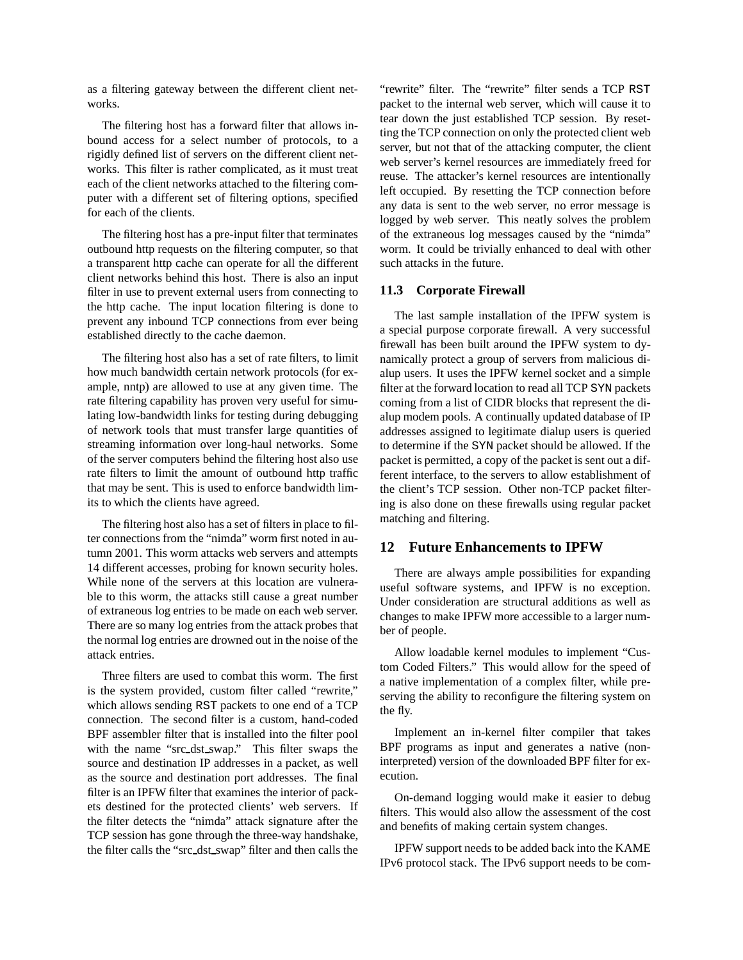as a filtering gateway between the different client networks.

The filtering host has a forward filter that allows inbound access for a select number of protocols, to a rigidly defined list of servers on the different client networks. This filter is rather complicated, as it must treat each of the client networks attached to the filtering computer with a different set of filtering options, specified for each of the clients.

The filtering host has a pre-input filter that terminates outbound http requests on the filtering computer, so that a transparent http cache can operate for all the different client networks behind this host. There is also an input filter in use to prevent external users from connecting to the http cache. The input location filtering is done to prevent any inbound TCP connections from ever being established directly to the cache daemon.

The filtering host also has a set of rate filters, to limit how much bandwidth certain network protocols (for example, nntp) are allowed to use at any given time. The rate filtering capability has proven very useful for simulating low-bandwidth links for testing during debugging of network tools that must transfer large quantities of streaming information over long-haul networks. Some of the server computers behind the filtering host also use rate filters to limit the amount of outbound http traffic that may be sent. This is used to enforce bandwidth limits to which the clients have agreed.

The filtering host also has a set of filters in place to filter connections from the "nimda" worm first noted in autumn 2001. This worm attacks web servers and attempts 14 different accesses, probing for known security holes. While none of the servers at this location are vulnerable to this worm, the attacks still cause a great number of extraneous log entries to be made on each web server. There are so many log entries from the attack probes that the normal log entries are drowned out in the noise of the attack entries.

Three filters are used to combat this worm. The first is the system provided, custom filter called "rewrite," which allows sending RST packets to one end of a TCP connection. The second filter is a custom, hand-coded BPF assembler filter that is installed into the filter pool with the name "src dst swap." This filter swaps the source and destination IP addresses in a packet, as well as the source and destination port addresses. The final filter is an IPFW filter that examines the interior of packets destined for the protected clients' web servers. If the filter detects the "nimda" attack signature after the TCP session has gone through the three-way handshake, the filter calls the "src dst swap" filter and then calls the

"rewrite" filter. The "rewrite" filter sends a TCP RST packet to the internal web server, which will cause it to tear down the just established TCP session. By resetting the TCP connection on only the protected client web server, but not that of the attacking computer, the client web server's kernel resources are immediately freed for reuse. The attacker's kernel resources are intentionally left occupied. By resetting the TCP connection before any data is sent to the web server, no error message is logged by web server. This neatly solves the problem of the extraneous log messages caused by the "nimda" worm. It could be trivially enhanced to deal with other such attacks in the future.

#### **11.3 Corporate Firewall**

The last sample installation of the IPFW system is a special purpose corporate firewall. A very successful firewall has been built around the IPFW system to dynamically protect a group of servers from malicious dialup users. It uses the IPFW kernel socket and a simple filter at the forward location to read all TCP SYN packets coming from a list of CIDR blocks that represent the dialup modem pools. A continually updated database of IP addresses assigned to legitimate dialup users is queried to determine if the SYN packet should be allowed. If the packet is permitted, a copy of the packet is sent out a different interface, to the servers to allow establishment of the client's TCP session. Other non-TCP packet filtering is also done on these firewalls using regular packet matching and filtering.

## **12 Future Enhancements to IPFW**

There are always ample possibilities for expanding useful software systems, and IPFW is no exception. Under consideration are structural additions as well as changes to make IPFW more accessible to a larger number of people.

Allow loadable kernel modules to implement "Custom Coded Filters." This would allow for the speed of a native implementation of a complex filter, while preserving the ability to reconfigure the filtering system on the fly.

Implement an in-kernel filter compiler that takes BPF programs as input and generates a native (noninterpreted) version of the downloaded BPF filter for execution.

On-demand logging would make it easier to debug filters. This would also allow the assessment of the cost and benefits of making certain system changes.

IPFW support needs to be added back into the KAME IPv6 protocol stack. The IPv6 support needs to be com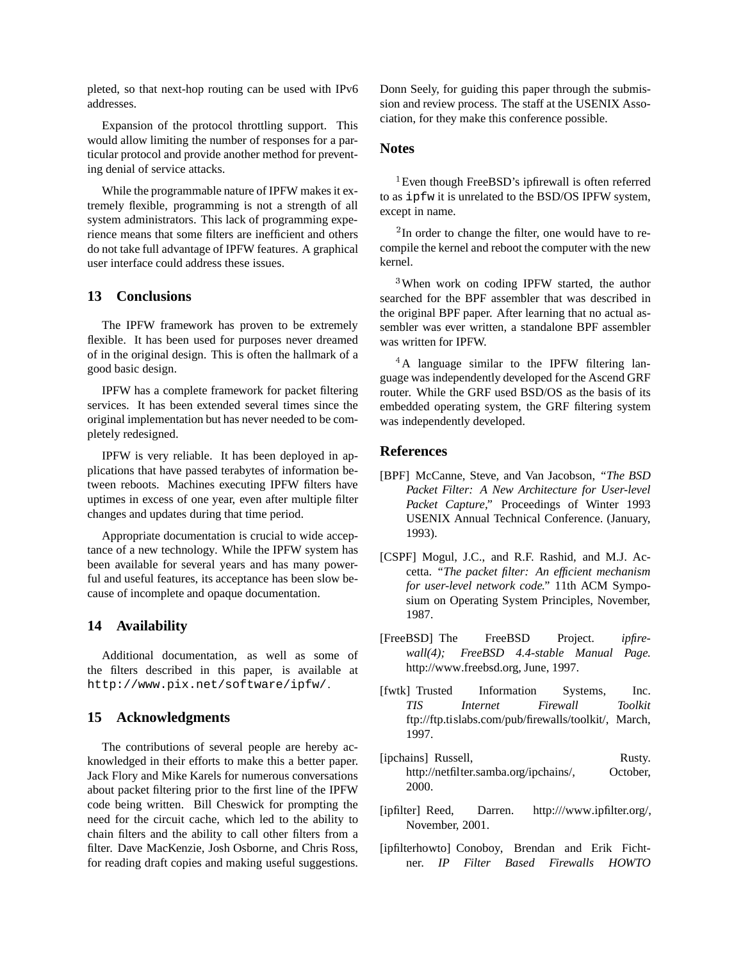pleted, so that next-hop routing can be used with IPv6 addresses.

Expansion of the protocol throttling support. This would allow limiting the number of responses for a particular protocol and provide another method for preventing denial of service attacks.

While the programmable nature of IPFW makes it extremely flexible, programming is not a strength of all system administrators. This lack of programming experience means that some filters are inefficient and others do not take full advantage of IPFW features. A graphical user interface could address these issues.

# **13 Conclusions**

The IPFW framework has proven to be extremely flexible. It has been used for purposes never dreamed of in the original design. This is often the hallmark of a good basic design.

IPFW has a complete framework for packet filtering services. It has been extended several times since the original implementation but has never needed to be completely redesigned.

IPFW is very reliable. It has been deployed in applications that have passed terabytes of information between reboots. Machines executing IPFW filters have uptimes in excess of one year, even after multiple filter changes and updates during that time period.

Appropriate documentation is crucial to wide acceptance of a new technology. While the IPFW system has been available for several years and has many powerful and useful features, its acceptance has been slow because of incomplete and opaque documentation.

### **14 Availability**

Additional documentation, as well as some of the filters described in this paper, is available at http://www.pix.net/software/ipfw/.

# **15 Acknowledgments**

The contributions of several people are hereby acknowledged in their efforts to make this a better paper. Jack Flory and Mike Karels for numerous conversations about packet filtering prior to the first line of the IPFW code being written. Bill Cheswick for prompting the need for the circuit cache, which led to the ability to chain filters and the ability to call other filters from a filter. Dave MacKenzie, Josh Osborne, and Chris Ross, for reading draft copies and making useful suggestions.

Donn Seely, for guiding this paper through the submission and review process. The staff at the USENIX Association, for they make this conference possible.

# **Notes**

 ${}^{1}$ Even though FreeBSD's ipfirewall is often referred to as ipfw it is unrelated to the BSD/OS IPFW system, except in name.

 $2$ In order to change the filter, one would have to recompile the kernel and reboot the computer with the new kernel.

<sup>3</sup>When work on coding IPFW started, the author searched for the BPF assembler that was described in the original BPF paper. After learning that no actual assembler was ever written, a standalone BPF assembler was written for IPFW.

<sup>4</sup>A language similar to the IPFW filtering language was independently developed for the Ascend GRF router. While the GRF used BSD/OS as the basis of its embedded operating system, the GRF filtering system was independently developed.

### **References**

- [BPF] McCanne, Steve, and Van Jacobson, *"The BSD Packet Filter: A New Architecture for User-level Packet Capture,"* Proceedings of Winter 1993 USENIX Annual Technical Conference. (January, 1993).
- [CSPF] Mogul, J.C., and R.F. Rashid, and M.J. Accetta. *"The packet filter: An efficient mechanism for user-level network code."* 11th ACM Symposium on Operating System Principles, November, 1987.
- [FreeBSD] The FreeBSD Project. *ipfirewall(4); FreeBSD 4.4-stable Manual Page.* http://www.freebsd.org, June, 1997.
- [fwtk] Trusted Information Systems, Inc. *TIS Internet Firewall Toolkit* ftp://ftp.tislabs.com/pub/firewalls/toolkit/, March, 1997.
- [ipchains] Russell, Rusty. http://netfilter.samba.org/ipchains/, October, 2000.
- [ipfilter] Reed, Darren. http:///www.ipfilter.org/, November, 2001.
- [ipfilterhowto] Conoboy, Brendan and Erik Fichtner. *IP Filter Based Firewalls HOWTO*